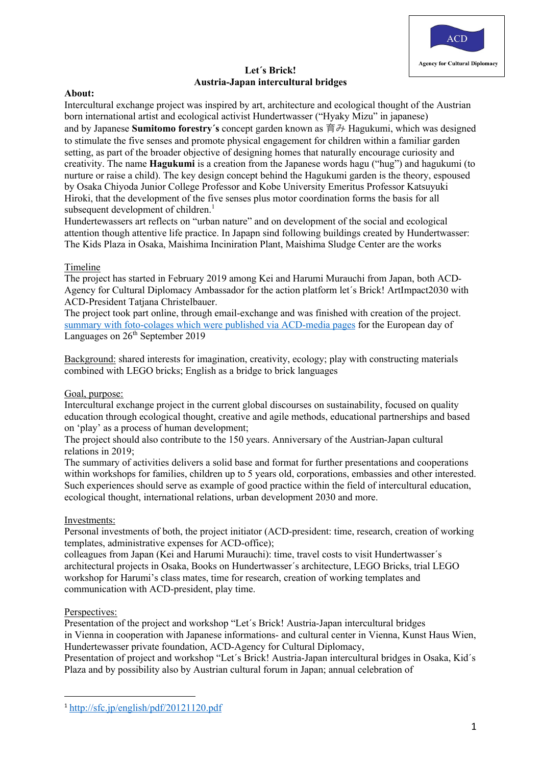

## **Let´s Brick! Austria-Japan intercultural bridges**

## **About:**

Intercultural exchange project was inspired by art, architecture and ecological thought of the Austrian born international artist and ecological activist Hundertwasser ("Hyaky Mizu" in japanese) and by Japanese **Sumitomo forestry´s** concept garden known as 育み Hagukumi, which was designed to stimulate the five senses and promote physical engagement for children within a familiar garden setting, as part of the broader objective of designing homes that naturally encourage curiosity and creativity. The name **Hagukumi** is a creation from the Japanese words hagu ("hug") and hagukumi (to nurture or raise a child). The key design concept behind the Hagukumi garden is the theory, espoused by Osaka Chiyoda Junior College Professor and Kobe University Emeritus Professor Katsuyuki Hiroki, that the development of the five senses plus motor coordination forms the basis for all subsequent development of children.<sup>1</sup>

Hundertewassers art reflects on "urban nature" and on development of the social and ecological attention though attentive life practice. In Japapn sind following buildings created by Hundertwasser: The Kids Plaza in Osaka, Maishima Inciniration Plant, Maishima Sludge Center are the works

## Timeline

The project has started in February 2019 among Kei and Harumi Murauchi from Japan, both ACD-Agency for Cultural Diplomacy Ambassador for the action platform let´s Brick! ArtImpact2030 with ACD-President Tatjana Christelbauer.

The project took part online, through email-exchange and was finished with creation of the project. summary with foto-colages which were published via ACD-media pages for the European day of Languages on  $26<sup>th</sup>$  September 2019

Background: shared interests for imagination, creativity, ecology; play with constructing materials combined with LEGO bricks; English as a bridge to brick languages

#### Goal, purpose:

Intercultural exchange project in the current global discourses on sustainability, focused on quality education through ecological thought, creative and agile methods, educational partnerships and based on 'play' as a process of human development;

The project should also contribute to the 150 years. Anniversary of the Austrian-Japan cultural relations in 2019;

The summary of activities delivers a solid base and format for further presentations and cooperations within workshops for families, children up to 5 years old, corporations, embassies and other interested. Such experiences should serve as example of good practice within the field of intercultural education, ecological thought, international relations, urban development 2030 and more.

#### Investments:

Personal investments of both, the project initiator (ACD-president: time, research, creation of working templates, administrative expenses for ACD-office);

colleagues from Japan (Kei and Harumi Murauchi): time, travel costs to visit Hundertwasser´s architectural projects in Osaka, Books on Hundertwasser´s architecture, LEGO Bricks, trial LEGO workshop for Harumi's class mates, time for research, creation of working templates and communication with ACD-president, play time.

#### Perspectives:

Presentation of the project and workshop "Let´s Brick! Austria-Japan intercultural bridges in Vienna in cooperation with Japanese informations- and cultural center in Vienna, Kunst Haus Wien, Hundertewasser private foundation, ACD-Agency for Cultural Diplomacy,

Presentation of project and workshop "Let´s Brick! Austria-Japan intercultural bridges in Osaka, Kid´s Plaza and by possibility also by Austrian cultural forum in Japan; annual celebration of

<sup>1</sup> http://sfc.jp/english/pdf/20121120.pdf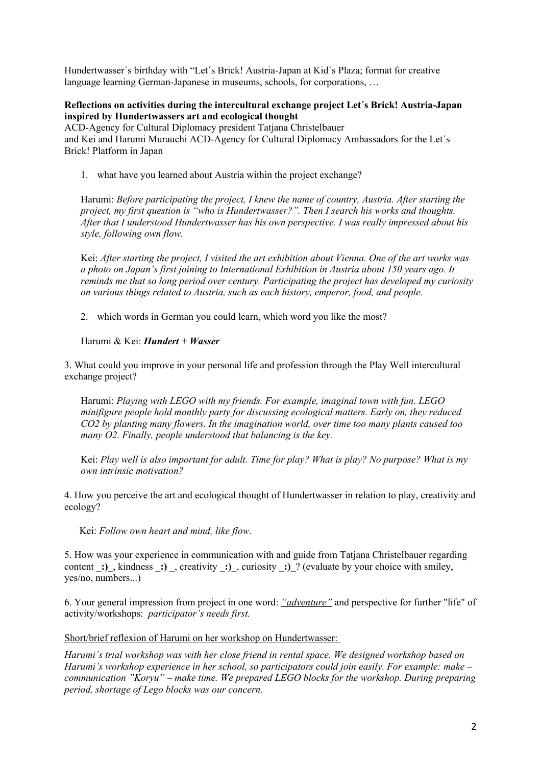Hundertwasser´s birthday with "Let´s Brick! Austria-Japan at Kid´s Plaza; format for creative language learning German-Japanese in museums, schools, for corporations, …

## **Reflections on activities during the intercultural exchange project Let´s Brick! Austria-Japan inspired by Hundertwassers art and ecological thought**

ACD-Agency for Cultural Diplomacy president Tatjana Christelbauer and Kei and Harumi Murauchi ACD-Agency for Cultural Diplomacy Ambassadors for the Let´s Brick! Platform in Japan

1. what have you learned about Austria within the project exchange?

Harumi: *Before participating the project, I knew the name of country, Austria. After starting the project, my first question is "who is Hundertwasser?". Then I search his works and thoughts. After that I understood Hundertwasser has his own perspective. I was really impressed about his style, following own flow.*

Kei: *After starting the project, I visited the art exhibition about Vienna. One of the art works was a photo on Japan's first joining to International Exhibition in Austria about 150 years ago. It reminds me that so long period over century. Participating the project has developed my curiosity on various things related to Austria, such as each history, emperor, food, and people.*

2. which words in German you could learn, which word you like the most?

Harumi & Kei: *Hundert + Wasser*

3. What could you improve in your personal life and profession through the Play Well intercultural exchange project?

Harumi: *Playing with LEGO with my friends. For example, imaginal town with fun. LEGO minifigure people hold monthly party for discussing ecological matters. Early on, they reduced CO2 by planting many flowers. In the imagination world, over time too many plants caused too many O2. Finally, people understood that balancing is the key.*

Kei: *Play well is also important for adult. Time for play? What is play? No purpose? What is my own intrinsic motivation?*

4. How you perceive the art and ecological thought of Hundertwasser in relation to play, creativity and ecology?

Kei: *Follow own heart and mind, like flow.*

5. How was your experience in communication with and guide from Tatjana Christelbauer regarding content :), kindness :), creativity :), curiosity :)? (evaluate by your choice with smiley, yes/no, numbers...)

6. Your general impression from project in one word: *"adventure"* and perspective for further "life" of activity/workshops: *participator's needs first.*

Short/brief reflexion of Harumi on her workshop on Hundertwasser:

*Harumi´s trial workshop was with her close friend in rental space. We designed workshop based on Harumi's workshop experience in her school, so participators could join easily. For example: make – communication "Koryu" – make time. We prepared LEGO blocks for the workshop. During preparing period, shortage of Lego blocks was our concern.*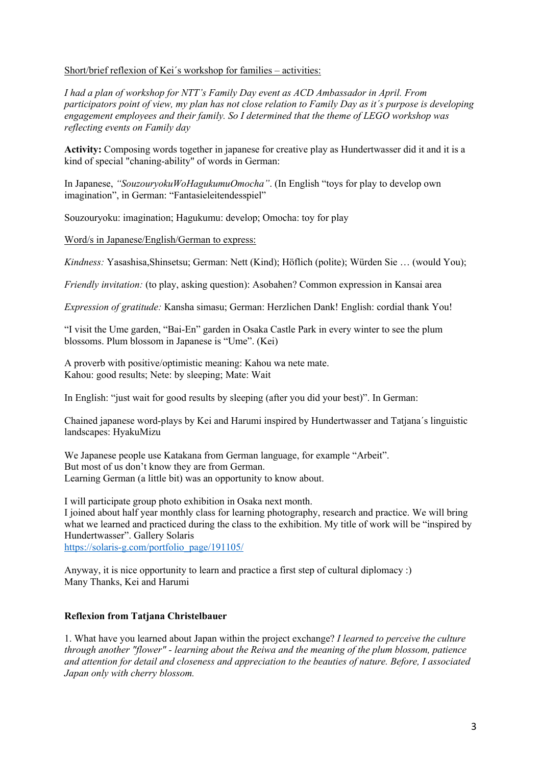## Short/brief reflexion of Kei´s workshop for families – activities:

*I had a plan of workshop for NTT's Family Day event as ACD Ambassador in April. From participators point of view, my plan has not close relation to Family Day as it´s purpose is developing engagement employees and their family. So I determined that the theme of LEGO workshop was reflecting events on Family day*

**Activity:** Composing words together in japanese for creative play as Hundertwasser did it and it is a kind of special "chaning-ability" of words in German:

In Japanese, *"SouzouryokuWoHagukumuOmocha"*. (In English "toys for play to develop own imagination", in German: "Fantasieleitendesspiel"

Souzouryoku: imagination; Hagukumu: develop; Omocha: toy for play

Word/s in Japanese/English/German to express:

*Kindness:* Yasashisa,Shinsetsu; German: Nett (Kind); Höflich (polite); Würden Sie … (would You);

*Friendly invitation:* (to play, asking question): Asobahen? Common expression in Kansai area

*Expression of gratitude:* Kansha simasu; German: Herzlichen Dank! English: cordial thank You!

"I visit the Ume garden, "Bai-En" garden in Osaka Castle Park in every winter to see the plum blossoms. Plum blossom in Japanese is "Ume". (Kei)

A proverb with positive/optimistic meaning: Kahou wa nete mate. Kahou: good results; Nete: by sleeping; Mate: Wait

In English: "just wait for good results by sleeping (after you did your best)". In German:

Chained japanese word-plays by Kei and Harumi inspired by Hundertwasser and Tatjana´s linguistic landscapes: HyakuMizu

We Japanese people use Katakana from German language, for example "Arbeit". But most of us don't know they are from German. Learning German (a little bit) was an opportunity to know about.

I will participate group photo exhibition in Osaka next month. I joined about half year monthly class for learning photography, research and practice. We will bring what we learned and practiced during the class to the exhibition. My title of work will be "inspired by Hundertwasser". Gallery Solaris https://solaris-g.com/portfolio\_page/191105/

Anyway, it is nice opportunity to learn and practice a first step of cultural diplomacy :) Many Thanks, Kei and Harumi

#### **Reflexion from Tatjana Christelbauer**

1. What have you learned about Japan within the project exchange? *I learned to perceive the culture through another "flower" - learning about the Reiwa and the meaning of the plum blossom, patience and attention for detail and closeness and appreciation to the beauties of nature. Before, I associated Japan only with cherry blossom.*